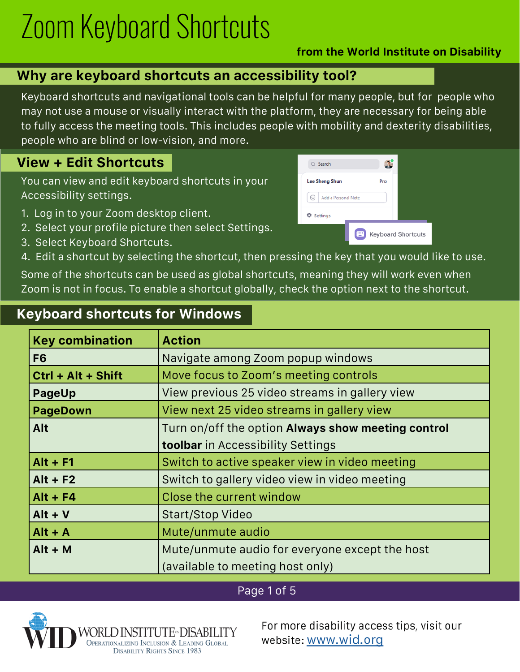# Zoom Keyboard Shortcuts

#### **from the World Institute on Disability**

### **Why are keyboard shortcuts an accessibility tool?**

Keyboard shortcuts and navigational tools can be helpful for many people, but for people who may not use a mouse or visually interact with the platform, they are necessary for being able to fully access the meeting tools. This includes people with mobility and dexterity disabilities, people who are blind or low-vision, and more.

### **View + Edit Shortcuts**

You can view and edit keyboard shortcuts in your Accessibility settings.

- 1. Log in to your Zoom desktop client.
- 2. Select your profile picture then select Settings.
- 3. Select Keyboard Shortcuts.
- 4. Edit a shortcut by selecting the shortcut, then pressing the key that you would like to use.

Some of the shortcuts can be used as global shortcuts, meaning they will work even when Zoom is not in focus. To enable a shortcut globally, check the option next to the shortcut.

### **Keyboard shortcuts for Windows**

| <b>Key combination</b> | <b>Action</b>                                      |
|------------------------|----------------------------------------------------|
| F <sub>6</sub>         | Navigate among Zoom popup windows                  |
| Ctrl + Alt + Shift     | Move focus to Zoom's meeting controls              |
| <b>PageUp</b>          | View previous 25 video streams in gallery view     |
| <b>PageDown</b>        | View next 25 video streams in gallery view         |
| Alt                    | Turn on/off the option Always show meeting control |
|                        | <b>toolbar</b> in Accessibility Settings           |
| $Alt + F1$             | Switch to active speaker view in video meeting     |
| $Alt + F2$             | Switch to gallery video view in video meeting      |
| $Alt + F4$             | Close the current window                           |
| $Alt + V$              | <b>Start/Stop Video</b>                            |
| $Alt + A$              | Mute/unmute audio                                  |
| $Alt + M$              | Mute/unmute audio for everyone except the host     |
|                        | (available to meeting host only)                   |

#### Page 1 of 5



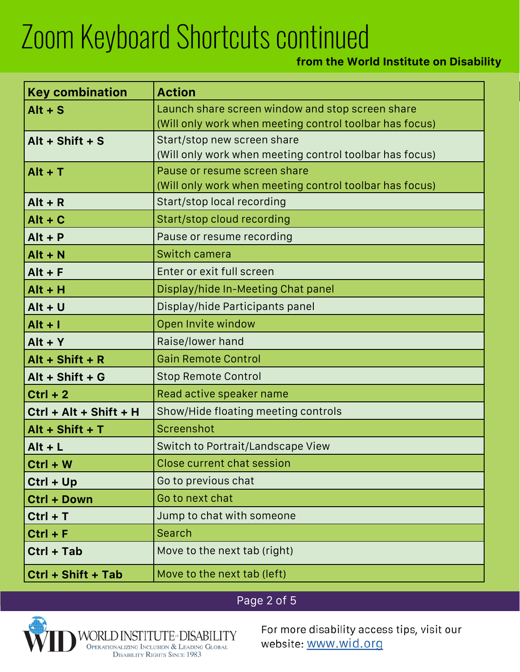#### **from the World Institute on Disability**

| <b>Key combination</b> | <b>Action</b>                                                                                               |
|------------------------|-------------------------------------------------------------------------------------------------------------|
| $Alt + S$              | Launch share screen window and stop screen share<br>(Will only work when meeting control toolbar has focus) |
| Alt + Shift + $S$      | Start/stop new screen share<br>(Will only work when meeting control toolbar has focus)                      |
| $Alt + T$              | Pause or resume screen share<br>(Will only work when meeting control toolbar has focus)                     |
| $Alt + R$              | Start/stop local recording                                                                                  |
| $Alt + C$              | Start/stop cloud recording                                                                                  |
| $Alt + P$              | Pause or resume recording                                                                                   |
| $Alt + N$              | Switch camera                                                                                               |
| $Alt + F$              | Enter or exit full screen                                                                                   |
| $Alt + H$              | Display/hide In-Meeting Chat panel                                                                          |
| $Alt + U$              | Display/hide Participants panel                                                                             |
| $Alt + I$              | Open Invite window                                                                                          |
| $Alt + Y$              | Raise/lower hand                                                                                            |
| Alt + Shift + $R$      | <b>Gain Remote Control</b>                                                                                  |
| Alt + Shift + G        | <b>Stop Remote Control</b>                                                                                  |
| $Ctrl + 2$             | Read active speaker name                                                                                    |
| Ctrl + Alt + Shift + H | Show/Hide floating meeting controls                                                                         |
| Alt + Shift + $T$      | Screenshot                                                                                                  |
| $Alt + L$              | Switch to Portrait/Landscape View                                                                           |
| $Ctrl + W$             | Close current chat session                                                                                  |
| $Ctrl + Up$            | Go to previous chat                                                                                         |
| Ctrl + Down            | Go to next chat                                                                                             |
| $Ctrl + T$             | Jump to chat with someone                                                                                   |
| $Ctrl + F$             | Search                                                                                                      |
| Ctrl + Tab             | Move to the next tab (right)                                                                                |
| Ctrl + Shift + Tab     | Move to the next tab (left)                                                                                 |

## Page 2 of 5

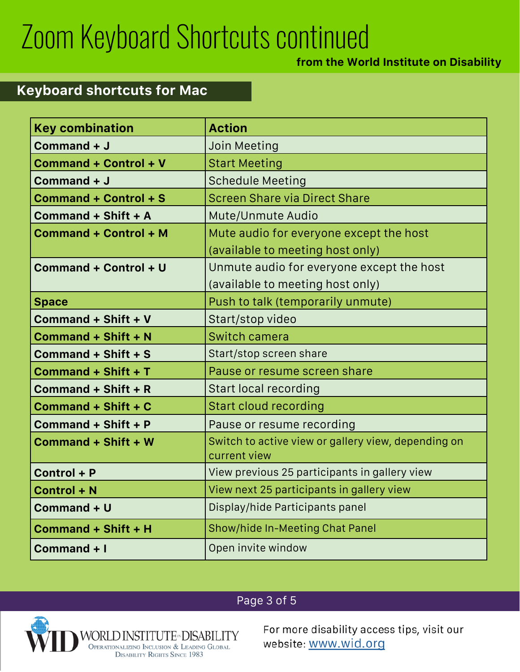#### **from the World Institute on Disability**

## **Keyboard shortcuts for Mac**

| <b>Key combination</b>       | <b>Action</b>                                                       |
|------------------------------|---------------------------------------------------------------------|
| Command + J                  | <b>Join Meeting</b>                                                 |
| <b>Command + Control + V</b> | <b>Start Meeting</b>                                                |
| Command + J                  | <b>Schedule Meeting</b>                                             |
| <b>Command + Control + S</b> | <b>Screen Share via Direct Share</b>                                |
| Command + Shift + A          | Mute/Unmute Audio                                                   |
| <b>Command + Control + M</b> | Mute audio for everyone except the host                             |
|                              | (available to meeting host only)                                    |
| <b>Command + Control + U</b> | Unmute audio for everyone except the host                           |
|                              | (available to meeting host only)                                    |
| <b>Space</b>                 | Push to talk (temporarily unmute)                                   |
| Command + Shift + V          | Start/stop video                                                    |
| Command + Shift + N          | <b>Switch camera</b>                                                |
| Command + Shift + S          | Start/stop screen share                                             |
| Command + Shift + T          | Pause or resume screen share                                        |
| Command + Shift + R          | <b>Start local recording</b>                                        |
| Command + Shift + C          | <b>Start cloud recording</b>                                        |
| Command + Shift + P          | Pause or resume recording                                           |
| <b>Command + Shift + W</b>   | Switch to active view or gallery view, depending on<br>current view |
| Control + P                  | View previous 25 participants in gallery view                       |
| Control + N                  | View next 25 participants in gallery view                           |
| Command + U                  | Display/hide Participants panel                                     |
| <b>Command + Shift + H</b>   | <b>Show/hide In-Meeting Chat Panel</b>                              |
| Command + I                  | Open invite window                                                  |

### Page 3 of 5

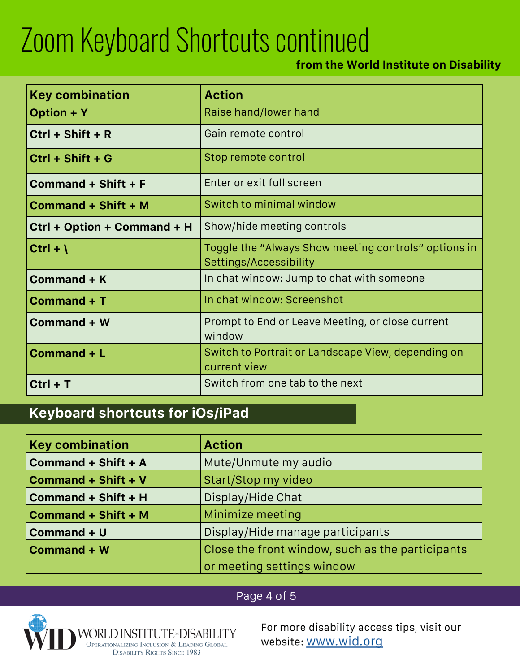#### **from the World Institute on Disability**

| <b>Key combination</b>      | <b>Action</b>                                                                  |
|-----------------------------|--------------------------------------------------------------------------------|
| <b>Option + Y</b>           | Raise hand/lower hand                                                          |
| $Ctrl + Shift + R$          | Gain remote control                                                            |
| $Ctrl + Shift + G$          | Stop remote control                                                            |
| Command + Shift + F         | Enter or exit full screen                                                      |
| <b>Command + Shift + M</b>  | Switch to minimal window                                                       |
| Ctrl + Option + Command + H | Show/hide meeting controls                                                     |
| Ctrl + $\lambda$            | Toggle the "Always Show meeting controls" options in<br>Settings/Accessibility |
| <b>Command + K</b>          | In chat window: Jump to chat with someone                                      |
| Command + T                 | In chat window: Screenshot                                                     |
| <b>Command + W</b>          | Prompt to End or Leave Meeting, or close current<br>window                     |
| Command + L                 | Switch to Portrait or Landscape View, depending on<br>current view             |
| $Ctrl + T$                  | Switch from one tab to the next                                                |

### **Keyboard shortcuts for iOs/iPad**

| <b>Key combination</b>     | <b>Action</b>                                    |
|----------------------------|--------------------------------------------------|
| Command + Shift + A        | Mute/Unmute my audio                             |
| Command + Shift + V        | Start/Stop my video                              |
| Command + Shift + H        | Display/Hide Chat                                |
| <b>Command + Shift + M</b> | Minimize meeting                                 |
| Command + U                | Display/Hide manage participants                 |
| Command + W                | Close the front window, such as the participants |
|                            | or meeting settings window                       |

#### Page 4 of 5